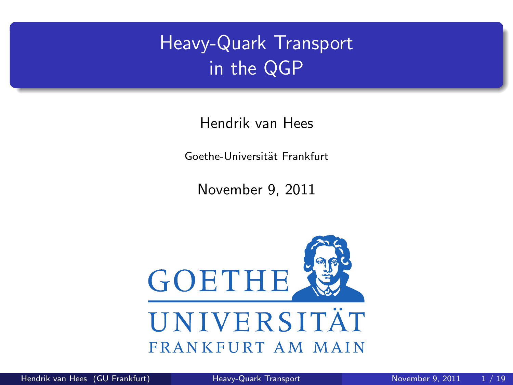# Heavy-Quark Transport in the QGP

Hendrik van Hees

Goethe-Universität Frankfurt

<span id="page-0-0"></span>November 9, 2011

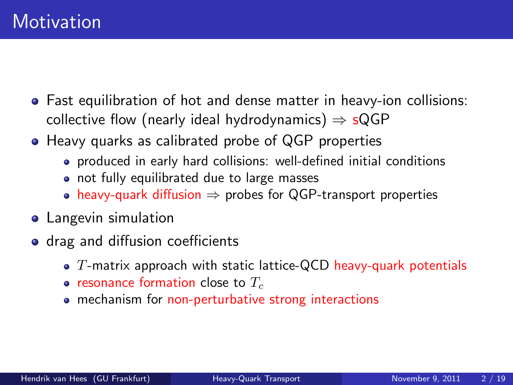- Fast equilibration of hot and dense matter in heavy-ion collisions: collective flow (nearly ideal hydrodynamics)  $\Rightarrow$  sQGP
- Heavy quarks as calibrated probe of QGP properties
	- produced in early hard collisions: well-defined initial conditions
	- not fully equilibrated due to large masses
	- heavy-quark diffusion  $\Rightarrow$  probes for QGP-transport properties
- **•** Langevin simulation
- drag and diffusion coefficients
	- $\bullet$  T-matrix approach with static lattice-QCD heavy-quark potentials
	- resonance formation close to  $T_c$
	- mechanism for non-perturbative strong interactions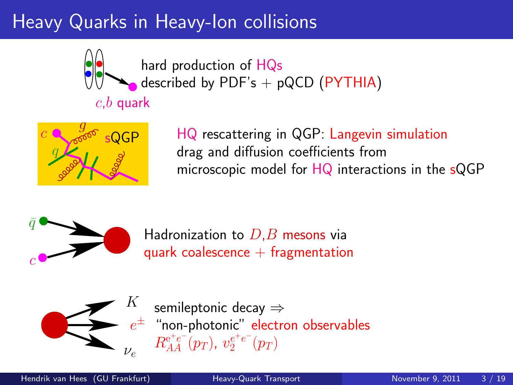## Heavy Quarks in Heavy-Ion collisions



hard production of HQs described by PDF's  $+$  pQCD (PYTHIA)

# $c,b$  quark



HQ rescattering in QGP: Langevin simulation drag and diffusion coefficients from microscopic model for HQ interactions in the sQGP



Hadronization to  $D,B$  mesons via quark coalescence  $+$  fragmentation



 $e^\pm$  "non-photonic" electron observables semileptonic decay ⇒  $R_{AA}^{\mathrm{e^+e^-}}(p_T),\ v_{2}^{e^+e^-}(p_T)$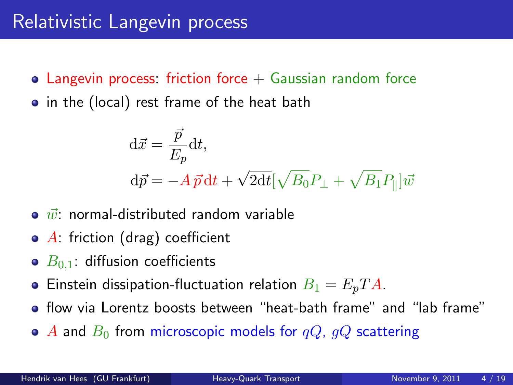- Langevin process: friction force  $+$  Gaussian random force
- in the (local) rest frame of the heat bath

$$
\begin{aligned} \mathbf{d}\vec{x} &= \frac{\vec{p}}{E_p} \mathbf{d}t, \\ \mathbf{d}\vec{p} &= -A\,\vec{p}\,\mathbf{d}t + \sqrt{2\mathbf{d}t} [\sqrt{B_0}P_\perp + \sqrt{B_1}P_\parallel]\vec{w} \end{aligned}
$$

- $\bullet$   $\vec{w}$ : normal-distributed random variable
- $\bullet$  A: friction (drag) coefficient
- $\bullet$   $B_{0,1}$ : diffusion coefficients
- **•** Einstein dissipation-fluctuation relation  $B_1 = E_p T A$ .
- flow via Lorentz boosts between "heat-bath frame" and "lab frame"
- $\bullet$  A and  $B_0$  from microscopic models for  $qQ$ ,  $qQ$  scattering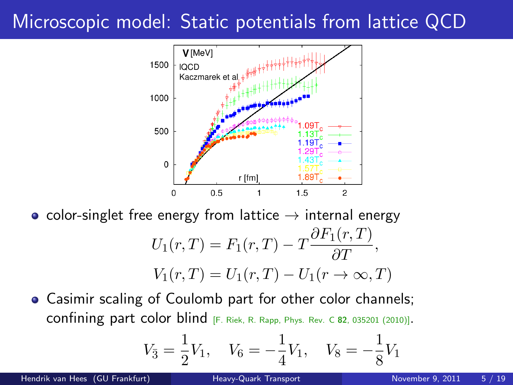## Microscopic model: Static potentials from lattice QCD



• color-singlet free energy from lattice  $\rightarrow$  internal energy

$$
U_1(r,T) = F_1(r,T) - T \frac{\partial F_1(r,T)}{\partial T},
$$
  

$$
V_1(r,T) = U_1(r,T) - U_1(r \to \infty, T)
$$

Casimir scaling of Coulomb part for other color channels; confining part color blind [F. Riek, R. Rapp, Phys. Rev. C <sup>82</sup>, 035201 (2010)].

$$
V_{\bar{3}} = \frac{1}{2}V_1
$$
,  $V_6 = -\frac{1}{4}V_1$ ,  $V_8 = -\frac{1}{8}V_1$ 

Hendrik van Hees (GU Frankfurt) [Heavy-Quark Transport](#page-0-0) November 9, 2011 5/19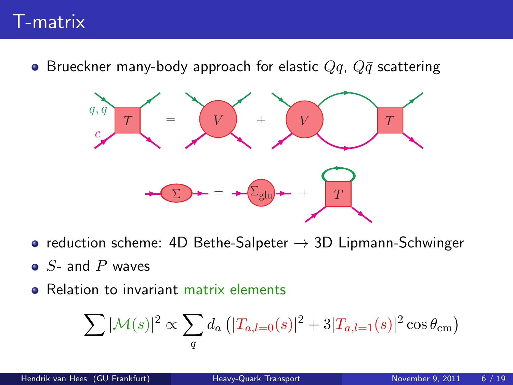## T-matrix

**•** Brueckner many-body approach for elastic  $Qq$ ,  $Q\bar{q}$  scattering



- reduction scheme: 4D Bethe-Salpeter  $\rightarrow$  3D Lipmann-Schwinger
- $\bullet$  S- and P waves
- Relation to invariant matrix elements

$$
\sum |\mathcal{M}(s)|^2 \propto \sum_{q} d_a \left( |T_{a,l=0}(s)|^2 + 3|T_{a,l=1}(s)|^2 \cos \theta_{\rm cm} \right)
$$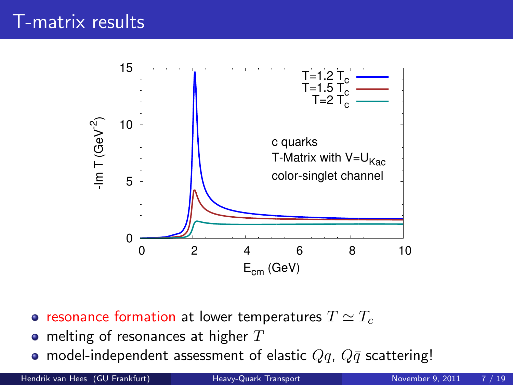

- resonance formation at lower temperatures  $T \simeq T_c$
- $\bullet$  melting of resonances at higher  $T$
- model-independent assessment of elastic  $Qq$ ,  $Q\bar{q}$  scattering!

Hendrik van Hees (GU Frankfurt) [Heavy-Quark Transport](#page-0-0) November 9, 2011 7 / 19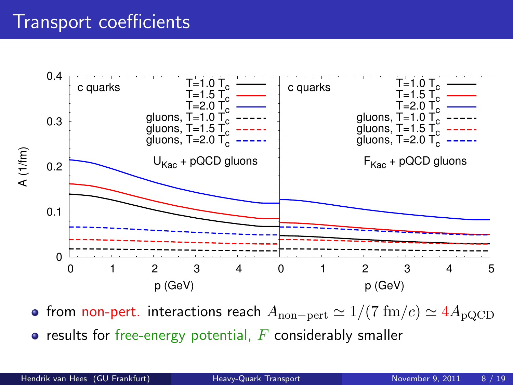#### Transport coefficients



• from non-pert. interactions reach  $A_{\text{non-pert}} \simeq 1/(7 \text{ fm}/c) \simeq 4A_{\text{pQCD}}$ 

 $\bullet$  results for free-energy potential,  $F$  considerably smaller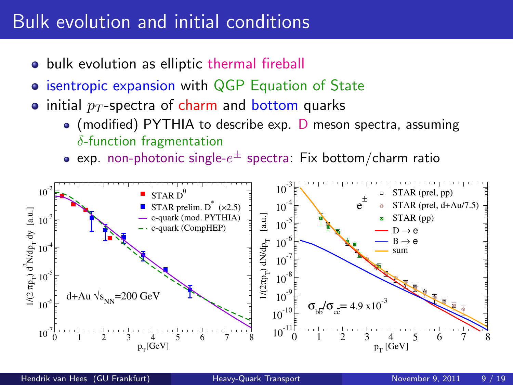## Bulk evolution and initial conditions

- bulk evolution as elliptic thermal fireball
- **isentropic expansion with QGP Equation of State**
- initial  $p_T$ -spectra of charm and bottom quarks
	- $\bullet$  (modified) PYTHIA to describe exp. D meson spectra, assuming  $\delta$ -function fragmentation
	- exp. non-photonic single- $e^\pm$  spectra: Fix bottom/charm ratio

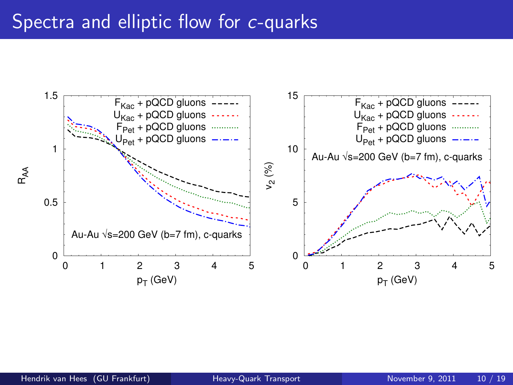#### Spectra and elliptic flow for c-quarks

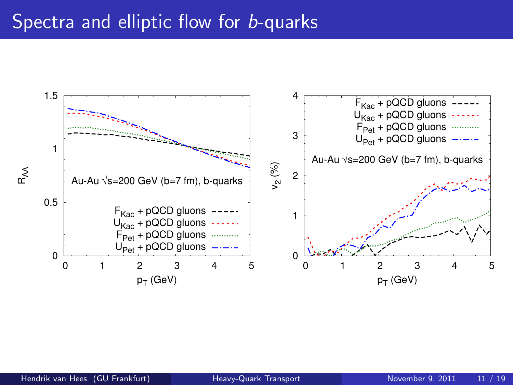#### Spectra and elliptic flow for **b-quarks**

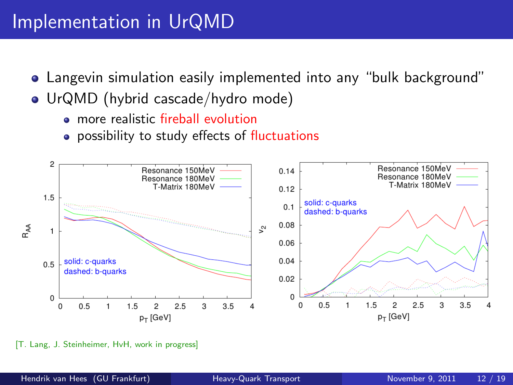#### Implementation in UrQMD

- Langevin simulation easily implemented into any "bulk background"
- UrQMD (hybrid cascade/hydro mode)
	- **a** more realistic fireball evolution
	- **•** possibility to study effects of fluctuations



[T. Lang, J. Steinheimer, HvH, work in progress]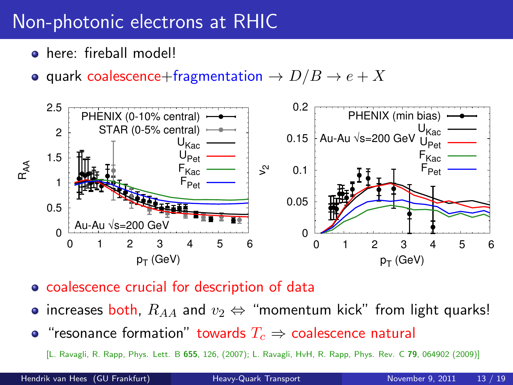## Non-photonic electrons at RHIC

- here: fireball model!
- quark coalescence+fragmentation  $\rightarrow D/B \rightarrow e + X$



- coalescence crucial for description of data
- increases both,  $R_{AA}$  and  $v_2 \Leftrightarrow$  "momentum kick" from light quarks!
- "resonance formation" towards  $T_c \Rightarrow$  coalescence natural

[L. Ravagli, R. Rapp, Phys. Lett. B 655, 126, (2007); L. Ravagli, HvH, R. Rapp, Phys. Rev. C 79, 064902 (2009)]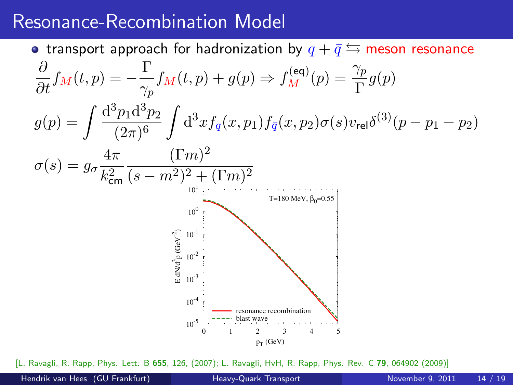#### Resonance-Recombination Model

• transport approach for hadronization by  $q + \bar{q} \leftrightarrows$  meson resonance  $\frac{\partial}{\partial t}f_M(t,p)=-\frac{\Gamma}{\gamma_p}$  $\frac{\Gamma}{\gamma_p} f_M(t,p) + g(p) \Rightarrow f_M^{(\text{eq})}(p) = \frac{\gamma_p}{\Gamma} g(p)$  $g(p) = \int \frac{d^3p_1 d^3p_2}{(2-p)^6}$  $(2\pi)^6$  $\int d^3x f_q(x, p_1) f_{\bar{q}}(x, p_2) \sigma(s) v_{\text{rel}} \delta^{(3)}(p - p_1 - p_2)$  $\sigma(s) = g_{\sigma} \frac{4\pi}{l^2}$  $k_{\mathsf{cm}}^2$  $(\Gamma m)^2$  $(s-m^2)^2 + (\Gamma m)^2$  $10^{-5}$   $\frac{1}{0}$  $10^{-4}$  $10^{-3}$  $10^{-2}$  $10^{-1}$  $10^{0}$  $10<sup>1</sup>$  0 1 2 3 4 5  $\sum_{i=1}^{n}$  $\frac{3}{p}$  (GeV $^{-2}$ )  $p_T$  (GeV) T=180 MeV,  $β_0=0.55$ resonance recombination blast wave

[L. Ravagli, R. Rapp, Phys. Lett. B 655, 126, (2007); L. Ravagli, HvH, R. Rapp, Phys. Rev. C 79, 064902 (2009)]

Hendrik van Hees (GU Frankfurt) [Heavy-Quark Transport](#page-0-0) November 9, 2011 14 / 19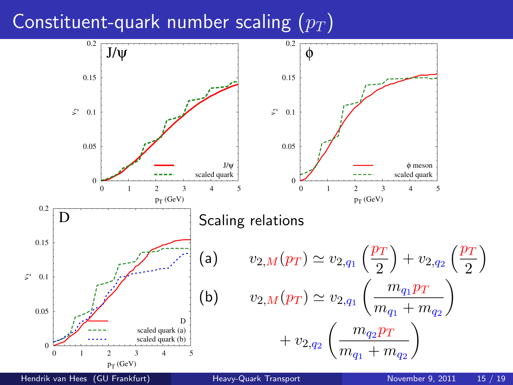## Constituent-quark number scaling  $(p_T)$

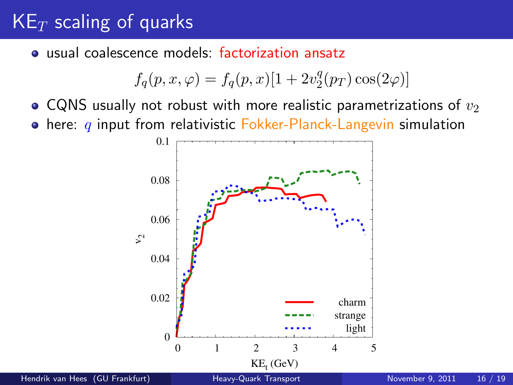## $KE_T$  scaling of quarks

usual coalescence models: factorization ansatz

$$
f_q(p, x, \varphi) = f_q(p, x)[1 + 2v_2^q(p_T)\cos(2\varphi)]
$$

• CQNS usually not robust with more realistic parametrizations of  $v_2$ 

 $\bullet$  here: q input from relativistic Fokker-Planck-Langevin simulation

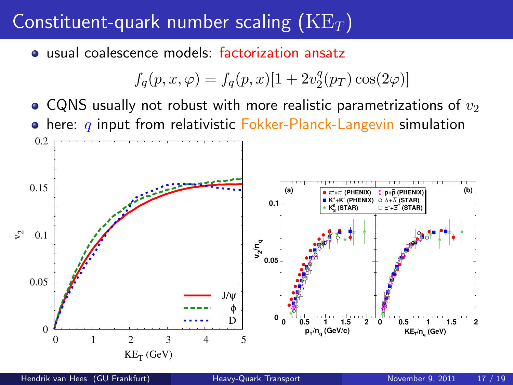## Constituent-quark number scaling  $(KE_T)$

usual coalescence models: factorization ansatz

$$
f_q(p, x, \varphi) = f_q(p, x)[1 + 2v_2^q(p_T)\cos(2\varphi)]
$$

• CQNS usually not robust with more realistic parametrizations of  $v_2$  $\bullet$  here:  $q$  input from relativistic Fokker-Planck-Langevin simulation

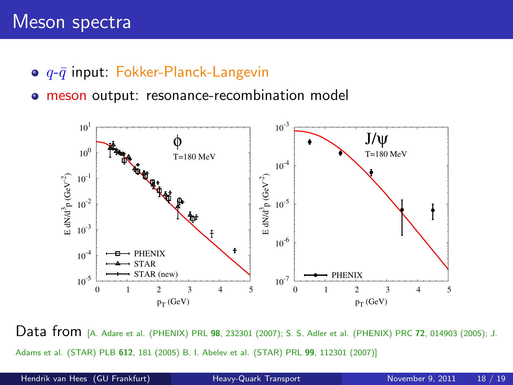#### Meson spectra

- $\bullet$   $q$ - $\bar{q}$  input: Fokker-Planck-Langevin
- **meson output: resonance-recombination model**



Data from [A. Adare et al. (PHENIX) PRL <sup>98</sup>, 232301 (2007); S. S. Adler et al. (PHENIX) PRC <sup>72</sup>, 014903 (2005); J. Adams et al. (STAR) PLB 612, 181 (2005) B. I. Abelev et al. (STAR) PRL 99, 112301 (2007)]

Hendrik van Hees (GU Frankfurt) [Heavy-Quark Transport](#page-0-0) November 9, 2011 18 / 19